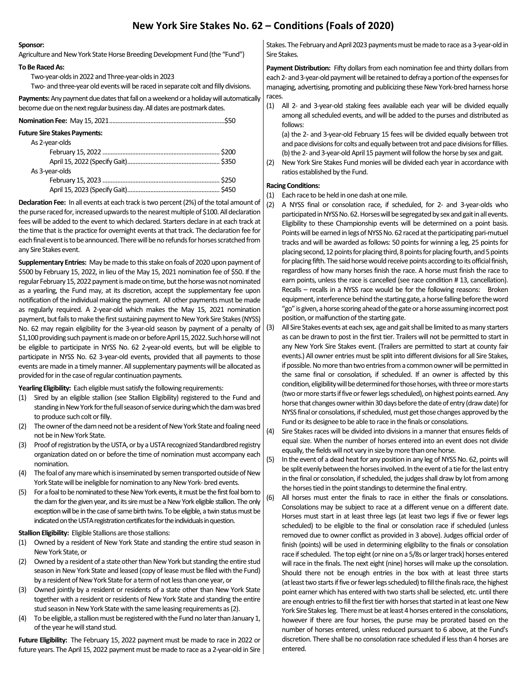# **New York Sire Stakes No. 62 – Conditions (Foals of 2020)**

### **Sponsor:**

Agriculture and New York State Horse Breeding Development Fund (the "Fund")

#### **To Be Raced As:**

Two-year-olds in 2022 and Three-year-olds in 2023 Two- and three-year old events will be raced in separate colt and filly divisions.

**Payments:**Any payment due dates that fall on a weekend or a holiday will automatically become due on the next regular business day. All dates are postmark dates.

| <b>Future Sire Stakes Payments:</b> |  |
|-------------------------------------|--|
| As 2-year-olds                      |  |
|                                     |  |
|                                     |  |
| As 3-year-olds                      |  |
|                                     |  |
|                                     |  |

**Declaration Fee:** In all events at each track is two percent (2%) of the total amount of the purse raced for, increased upwards to the nearest multiple of \$100. All declaration fees will be added to the event to which declared. Starters declare in at each track at the time that is the practice for overnight events at that track. The declaration fee for each final event is to be announced. There will be no refunds for horses scratched from any Sire Stakes event.

**Supplementary Entries:** May be made to this stake on foals of 2020 upon payment of \$500 by February 15, 2022, in lieu of the May 15, 2021 nomination fee of \$50. If the regular February 15, 2022 payment is made on time, but the horse was not nominated as a yearling, the Fund may, at its discretion, accept the supplementary fee upon notification of the individual making the payment. All other payments must be made as regularly required. A 2-year-old which makes the May 15, 2021 nomination payment, but fails to make the first sustaining payment to New York Sire Stakes (NYSS) No. 62 may regain eligibility for the 3-year-old season by payment of a penalty of \$1,100 providing such payment is made on or before April 15, 2022. Such horse will not be eligible to participate in NYSS No. 62 2-year-old events, but will be eligible to participate in NYSS No. 62 3-year-old events, provided that all payments to those events are made in a timely manner. All supplementary payments will be allocated as provided for in the case of regular continuation payments.

**Yearling Eligibility:** Each eligible must satisfy the following requirements:

- (1) Sired by an eligible stallion (see Stallion Eligibility) registered to the Fund and standing in New York for the full season of service during which the dam was bred to produce such colt or filly.
- (2) The owner of the dam need not be a resident of New York State and foaling need not be in New York State.
- (3) Proof of registration by the USTA, or by a USTA recognized Standardbred registry organization dated on or before the time of nomination must accompany each nomination.
- (4) The foal of any mare which is inseminated by semen transported outside of New York State will be ineligible for nomination to any New York- bred events.
- (5) For a foal to be nominated to these New York events, it must be the first foal born to the dam for the given year, and its sire must be a New York eligible stallion. The only exception will be in the case of same birth twins. To be eligible, a twin status must be indicated on the USTA registration certificates for the individuals in question.

## **Stallion Eligibility:** Eligible Stallions are those stallions:

- (1) Owned by a resident of New York State and standing the entire stud season in New York State, or
- (2) Owned by a resident of a state other than New York but standing the entire stud season in New York State and leased (copy of lease must be filed with the Fund) by a resident of New York State for a term of not less than one year, or
- (3) Owned jointly by a resident or residents of a state other than New York State together with a resident or residents of New York State and standing the entire stud season in New York State with the same leasing requirements as (2).
- (4) To be eligible, a stallion must be registered with the Fund no later than January 1, of the year he will stand stud.

**Future Eligibility:** The February 15, 2022 payment must be made to race in 2022 or future years. The April 15, 2022 payment must be made to race as a 2-year-old in Sire

Stakes. The February and April 2023 payments must be made to race as a 3-year-old in Sire Stakes.

**Payment Distribution:** Fifty dollars from each nomination fee and thirty dollars from each 2- and 3-year-old payment will be retained to defray a portion of the expenses for managing, advertising, promoting and publicizing these New York-bred harness horse races.

(1) All 2- and 3-year-old staking fees available each year will be divided equally among all scheduled events, and will be added to the purses and distributed as follows:

(a) the 2- and 3-year-old February 15 fees will be divided equally between trot and pace divisions for colts and equally between trot and pace divisions for fillies. (b) the 2- and 3-year-old April 15 payment will follow the horse by sex and gait.

(2) New York Sire Stakes Fund monies will be divided each year in accordance with ratios established by the Fund.

## **Racing Conditions:**

- (1) Each race to be held in one dash at one mile.
- (2) A NYSS final or consolation race, if scheduled, for 2- and 3-year-olds who participated in NYSS No. 62. Horses will be segregated by sex and gait in all events. Eligibility to these Championship events will be determined on a point basis. Points will be earned in legs of NYSS No. 62 raced at the participating pari-mutuel tracks and will be awarded as follows: 50 points for winning a leg, 25 points for placing second, 12 points for placing third, 8 points for placing fourth, and 5 points for placing fifth. The said horse would receive points according to its official finish, regardless of how many horses finish the race. A horse must finish the race to earn points, unless the race is cancelled (see race condition # 13, cancellation). Recalls – recalls in a NYSS race would be for the following reasons: Broken equipment, interference behind the starting gate, a horse falling before the word "go" is given, a horse scoring ahead of the gate or a horse assuming incorrect post position, or malfunction of the starting gate.
- (3) All Sire Stakes events at each sex, age and gait shall be limited to as many starters as can be drawn to post in the first tier. Trailers will not be permitted to start in any New York Sire Stakes event. (Trailers are permitted to start at county fair events.) All owner entries must be split into different divisions for all Sire Stakes, if possible. No more than two entries from a common owner will be permitted in the same final or consolation, if scheduled. If an owner is affected by this condition, eligibility will be determined for those horses, with three or more starts (two or more starts if five or fewer legs scheduled), on highest points earned. Any horse that changes owner within 30 days before the date of entry (draw date) for NYSS final or consolations, if scheduled, must get those changes approved by the Fund or its designee to be able to race in the finals or consolations.
- (4) Sire Stakes races will be divided into divisions in a manner that ensures fields of equal size. When the number of horses entered into an event does not divide equally, the fields will not vary in size by more than one horse.

(5) In the event of a dead heat for any position in any leg of NYSS No. 62, points will be split evenly between the horses involved. In the event of a tie for the last entry in the final or consolation, if scheduled, the judges shall draw by lot from among the horses tied in the point standings to determine the final entry.

(6) All horses must enter the finals to race in either the finals or consolations. Consolations may be subject to race at a different venue on a different date. Horses must start in at least three legs (at least two legs if five or fewer legs scheduled) to be eligible to the final or consolation race if scheduled (unless removed due to owner conflict as provided in 3 above). Judges official order of finish (points) will be used in determining eligibility to the finals or consolation race if scheduled. The top eight (or nine on a 5/8s or larger track) horses entered will race in the finals. The next eight (nine) horses will make up the consolation. Should there not be enough entries in the box with at least three starts (at least two starts if five or fewer legs scheduled) to fill the finals race, the highest point earner which has entered with two starts shall be selected, etc. until there are enough entries to fill the first tier with horses that started in at least one New York Sire Stakes leg. There must be at least 4 horses entered in the consolations, however if there are four horses, the purse may be prorated based on the number of horses entered, unless reduced pursuant to 6 above, at the Fund's discretion. There shall be no consolation race scheduled if less than 4 horses are entered.